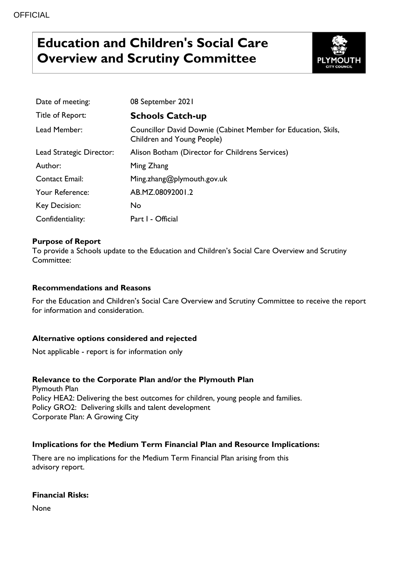# **Education and Children's Social Care Overview and Scrutiny Committee**



| Date of meeting:         | 08 September 2021                                                                           |
|--------------------------|---------------------------------------------------------------------------------------------|
| Title of Report:         | <b>Schools Catch-up</b>                                                                     |
| Lead Member:             | Councillor David Downie (Cabinet Member for Education, Skils,<br>Children and Young People) |
| Lead Strategic Director: | Alison Botham (Director for Childrens Services)                                             |
| Author:                  | Ming Zhang                                                                                  |
| <b>Contact Email:</b>    | Ming.zhang@plymouth.gov.uk                                                                  |
| Your Reference:          | AB.MZ.08092001.2                                                                            |
| <b>Key Decision:</b>     | <b>No</b>                                                                                   |
| Confidentiality:         | Part I - Official                                                                           |

# **Purpose of Report**

To provide a Schools update to the Education and Children's Social Care Overview and Scrutiny Committee:

### **Recommendations and Reasons**

For the Education and Children's Social Care Overview and Scrutiny Committee to receive the report for information and consideration.

### **Alternative options considered and rejected**

Not applicable - report is for information only

### **Relevance to the Corporate Plan and/or the Plymouth Plan**

Plymouth Plan Policy HEA2: Delivering the best outcomes for children, young people and families. Policy GRO2: Delivering skills and talent development Corporate Plan: A Growing City

### **Implications for the Medium Term Financial Plan and Resource Implications:**

There are no implications for the Medium Term Financial Plan arising from this advisory report.

### **Financial Risks:**

None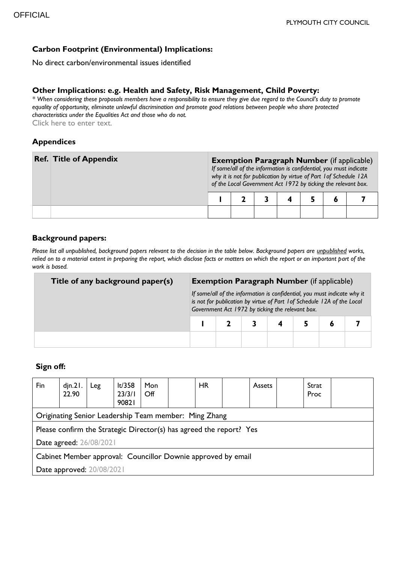# **Carbon Footprint (Environmental) Implications:**

No direct carbon/environmental issues identified

#### **Other Implications: e.g. Health and Safety, Risk Management, Child Poverty:**

*\* When considering these proposals members have a responsibility to ensure they give due regard to the Council's duty to promote equality of opportunity, eliminate unlawful discrimination and promote good relations between people who share protected characteristics under the Equalities Act and those who do not.* Click here to enter text.

#### **Appendices**

| <b>Ref. Title of Appendix</b> | <b>Exemption Paragraph Number</b> (if applicable)<br>If some/all of the information is confidential, you must indicate<br>why it is not for publication by virtue of Part 1 of Schedule 12A<br>of the Local Government Act 1972 by ticking the relevant box. |  |  |  |  |  |
|-------------------------------|--------------------------------------------------------------------------------------------------------------------------------------------------------------------------------------------------------------------------------------------------------------|--|--|--|--|--|
|                               |                                                                                                                                                                                                                                                              |  |  |  |  |  |
|                               |                                                                                                                                                                                                                                                              |  |  |  |  |  |

### **Background papers:**

*Please list all unpublished, background papers relevant to the decision in the table below. Background papers are unpublished works,*  relied on to a material extent in preparing the report, which disclose facts or matters on which the report or an important part of the *work is based.*

| Title of any background paper(s) | <b>Exemption Paragraph Number</b> (if applicable)                                                                                                                                                       |  |  |  |  |  |  |
|----------------------------------|---------------------------------------------------------------------------------------------------------------------------------------------------------------------------------------------------------|--|--|--|--|--|--|
|                                  | If some/all of the information is confidential, you must indicate why it<br>is not for publication by virtue of Part 1 of Schedule 12A of the Local<br>Government Act 1972 by ticking the relevant box. |  |  |  |  |  |  |
|                                  |                                                                                                                                                                                                         |  |  |  |  |  |  |
|                                  |                                                                                                                                                                                                         |  |  |  |  |  |  |

### **Sign off:**

| Fin                                                                 | $d$ jn. $21.$<br>22.90 | Leg | lt/358<br>23/3/1<br>90821 | Mon<br>Off |  | HR |  | <b>Assets</b> | Strat<br>Proc |
|---------------------------------------------------------------------|------------------------|-----|---------------------------|------------|--|----|--|---------------|---------------|
| Originating Senior Leadership Team member: Ming Zhang               |                        |     |                           |            |  |    |  |               |               |
| Please confirm the Strategic Director(s) has agreed the report? Yes |                        |     |                           |            |  |    |  |               |               |
| Date agreed: 26/08/2021                                             |                        |     |                           |            |  |    |  |               |               |
| Cabinet Member approval: Councillor Downie approved by email        |                        |     |                           |            |  |    |  |               |               |
| Date approved: 20/08/2021                                           |                        |     |                           |            |  |    |  |               |               |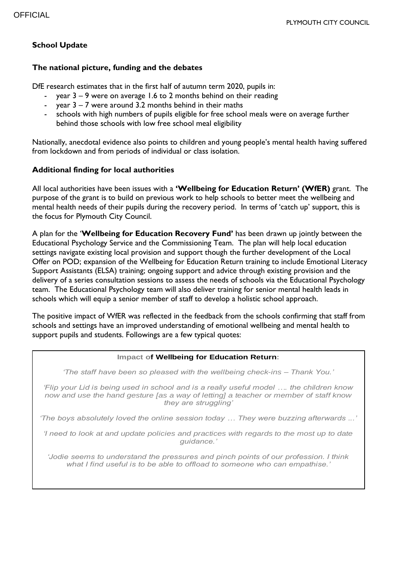# **School Update**

#### **The national picture, funding and the debates**

DfE research estimates that in the first half of autumn term 2020, pupils in:

- year  $3 9$  were on average 1.6 to 2 months behind on their reading
- year  $3 7$  were around 3.2 months behind in their maths
- schools with high numbers of pupils eligible for free school meals were on average further behind those schools with low free school meal eligibility

Nationally, anecdotal evidence also points to children and young people's mental health having suffered from lockdown and from periods of individual or class isolation.

# **Additional finding for local authorities**

All local authorities have been issues with a **'Wellbeing for Education Return' (WfER)** grant. The purpose of the grant is to build on previous work to help schools to better meet the wellbeing and mental health needs of their pupils during the recovery period. In terms of 'catch up' support, this is the focus for Plymouth City Council.

A plan for the '**Wellbeing for Education Recovery Fund'** has been drawn up jointly between the Educational Psychology Service and the Commissioning Team. The plan will help local education settings navigate existing local provision and support though the further development of the Local Offer on POD; expansion of the Wellbeing for Education Return training to include Emotional Literacy Support Assistants (ELSA) training; ongoing support and advice through existing provision and the delivery of a series consultation sessions to assess the needs of schools via the Educational Psychology team. The Educational Psychology team will also deliver training for senior mental health leads in schools which will equip a senior member of staff to develop a holistic school approach.

The positive impact of WfER was reflected in the feedback from the schools confirming that staff from schools and settings have an improved understanding of emotional wellbeing and mental health to support pupils and students. Followings are a few typical quotes:

#### **Impact of Wellbeing for Education Return:**

*'The staff have been so pleased with the wellbeing check-ins – Thank You.'*

*'Flip your Lid is being used in school and is a really useful model …. the children know now and use the hand gesture [as a way of letting] a teacher or member of staff know they are struggling'*

*'The boys absolutely loved the online session today … They were buzzing afterwards ...'* 

*'I need to look at and update policies and practices with regards to the most up to date guidance.'*

*'Jodie seems to understand the pressures and pinch points of our profession. I think what I find useful is to be able to offload to someone who can empathise.'*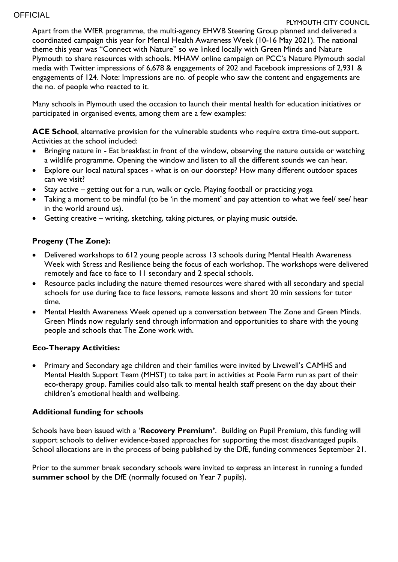### **OFFICIAL**

#### PLYMOUTH CITY COUNCIL

Apart from the WfER programme, the multi-agency EHWB Steering Group planned and delivered a coordinated campaign this year for Mental Health Awareness Week (10-16 May 2021). The national theme this year was "Connect with Nature" so we linked locally with Green Minds and Nature Plymouth to share resources with schools. MHAW online campaign on PCC's Nature Plymouth social media with Twitter impressions of 6,678 & engagements of 202 and Facebook impressions of 2,931 & engagements of 124. Note: Impressions are no. of people who saw the content and engagements are the no. of people who reacted to it.

Many schools in Plymouth used the occasion to launch their mental health for education initiatives or participated in organised events, among them are a few examples:

**ACE School**, alternative provision for the vulnerable students who require extra time-out support. Activities at the school included:

- Bringing nature in Eat breakfast in front of the window, observing the nature outside or watching a wildlife programme. Opening the window and listen to all the different sounds we can hear.
- Explore our local natural spaces what is on our doorstep? How many different outdoor spaces can we visit?
- Stay active getting out for a run, walk or cycle. Playing football or practicing yoga
- Taking a moment to be mindful (to be 'in the moment' and pay attention to what we feel/ see/ hear in the world around us).
- Getting creative writing, sketching, taking pictures, or playing music outside.

### **Progeny (The Zone):**

- Delivered workshops to 612 young people across 13 schools during Mental Health Awareness Week with Stress and Resilience being the focus of each workshop. The workshops were delivered remotely and face to face to 11 secondary and 2 special schools.
- Resource packs including the nature themed resources were shared with all secondary and special schools for use during face to face lessons, remote lessons and short 20 min sessions for tutor time.
- Mental Health Awareness Week opened up a conversation between The Zone and Green Minds. Green Minds now regularly send through information and opportunities to share with the young people and schools that The Zone work with.

### **Eco-Therapy Activities:**

 Primary and Secondary age children and their families were invited by Livewell's CAMHS and Mental Health Support Team (MHST) to take part in activities at Poole Farm run as part of their eco-therapy group. Families could also talk to mental health staff present on the day about their children's emotional health and wellbeing.

### **Additional funding for schools**

Schools have been issued with a '**Recovery Premium'**. Building on Pupil Premium, this funding will support schools to deliver evidence-based approaches for supporting the most disadvantaged pupils. School allocations are in the process of being published by the DfE, funding commences September 21.

Prior to the summer break secondary schools were invited to express an interest in running a funded **summer school** by the DfE (normally focused on Year 7 pupils).